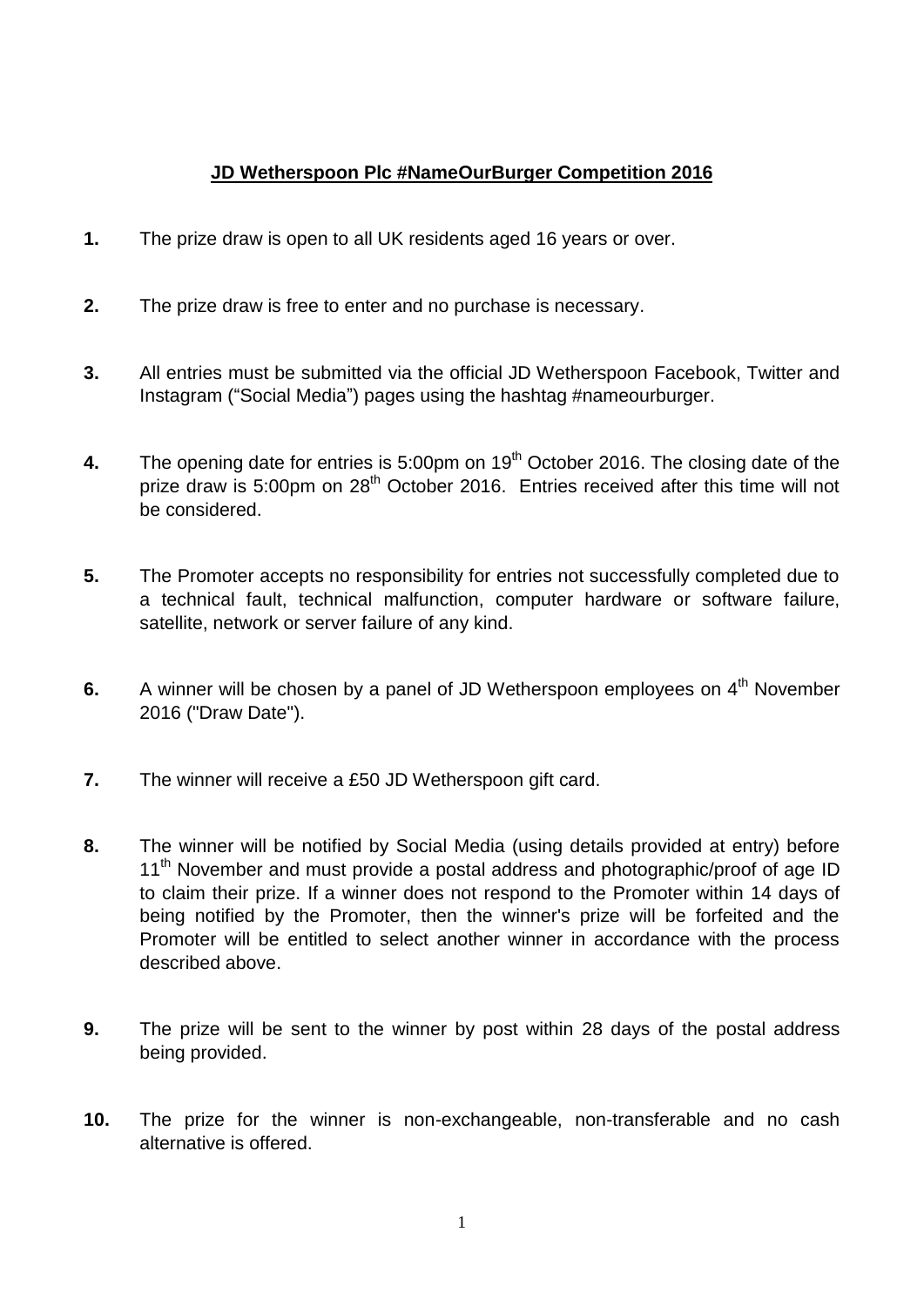## **JD Wetherspoon Plc #NameOurBurger Competition 2016**

- **1.** The prize draw is open to all UK residents aged 16 years or over.
- **2.** The prize draw is free to enter and no purchase is necessary.
- **3.** All entries must be submitted via the official JD Wetherspoon Facebook, Twitter and Instagram ("Social Media") pages using the hashtag #nameourburger.
- **4.** The opening date for entries is 5:00pm on 19<sup>th</sup> October 2016. The closing date of the prize draw is 5:00pm on 28<sup>th</sup> October 2016. Entries received after this time will not be considered.
- **5.** The Promoter accepts no responsibility for entries not successfully completed due to a technical fault, technical malfunction, computer hardware or software failure, satellite, network or server failure of any kind.
- **6.** A winner will be chosen by a panel of JD Wetherspoon employees on 4<sup>th</sup> November 2016 ("Draw Date").
- **7.** The winner will receive a £50 JD Wetherspoon gift card.
- **8.** The winner will be notified by Social Media (using details provided at entry) before 11<sup>th</sup> November and must provide a postal address and photographic/proof of age ID to claim their prize. If a winner does not respond to the Promoter within 14 days of being notified by the Promoter, then the winner's prize will be forfeited and the Promoter will be entitled to select another winner in accordance with the process described above.
- **9.** The prize will be sent to the winner by post within 28 days of the postal address being provided.
- **10.** The prize for the winner is non-exchangeable, non-transferable and no cash alternative is offered.